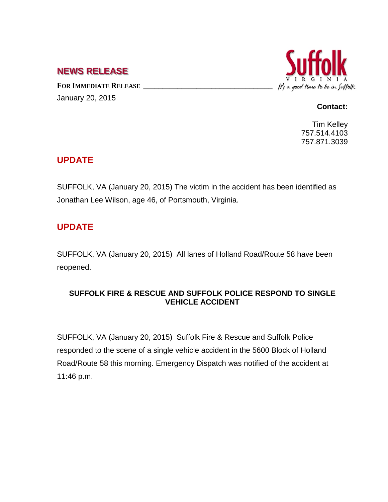## **NEWS RELEASE**

FOR IMMEDIATE RELEASE January 20, 2015



#### **Contact:**

Tim Kelley 757.514.4103 757.871.3039

### **UPDATE**

SUFFOLK, VA (January 20, 2015) The victim in the accident has been identified as Jonathan Lee Wilson, age 46, of Portsmouth, Virginia.

# **UPDATE**

SUFFOLK, VA (January 20, 2015) All lanes of Holland Road/Route 58 have been reopened.

#### **SUFFOLK FIRE & RESCUE AND SUFFOLK POLICE RESPOND TO SINGLE VEHICLE ACCIDENT**

SUFFOLK, VA (January 20, 2015) Suffolk Fire & Rescue and Suffolk Police responded to the scene of a single vehicle accident in the 5600 Block of Holland Road/Route 58 this morning. Emergency Dispatch was notified of the accident at 11:46 p.m.